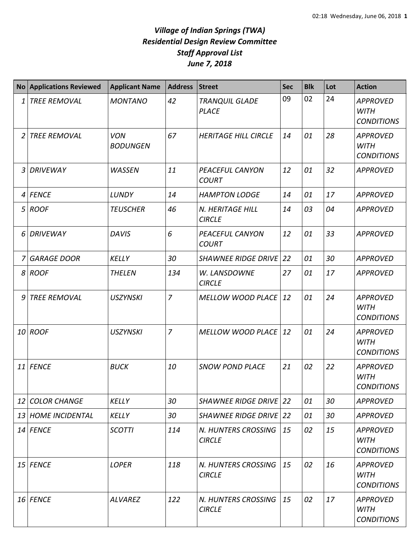## *Village of Indian Springs (TWA) Residential Design Review Committee Staff Approval List June 7, 2018*

|                 | <b>No Applications Reviewed</b> | <b>Applicant Name</b>         | <b>Address</b> | <b>Street</b>                          | <b>Sec</b> | <b>Blk</b> | Lot | <b>Action</b>                                       |
|-----------------|---------------------------------|-------------------------------|----------------|----------------------------------------|------------|------------|-----|-----------------------------------------------------|
| 1               | <b>TREE REMOVAL</b>             | <b>MONTANO</b>                | 42             | <b>TRANQUIL GLADE</b><br><b>PLACE</b>  | 09         | 02         | 24  | <b>APPROVED</b><br><b>WITH</b><br><b>CONDITIONS</b> |
| 2               | <b>TREE REMOVAL</b>             | <b>VON</b><br><b>BODUNGEN</b> | 67             | <b>HERITAGE HILL CIRCLE</b>            | 14         | 01         | 28  | <b>APPROVED</b><br><b>WITH</b><br><b>CONDITIONS</b> |
| 3               | <b>DRIVEWAY</b>                 | <b>WASSEN</b>                 | 11             | PEACEFUL CANYON<br><b>COURT</b>        | 12         | 01         | 32  | <b>APPROVED</b>                                     |
| 4               | <b>FENCE</b>                    | LUNDY                         | 14             | <b>HAMPTON LODGE</b>                   | 14         | 01         | 17  | <b>APPROVED</b>                                     |
| 5               | <b>ROOF</b>                     | <b>TEUSCHER</b>               | 46             | N. HERITAGE HILL<br><b>CIRCLE</b>      | 14         | 03         | 04  | <b>APPROVED</b>                                     |
| 6               | <b>DRIVEWAY</b>                 | <b>DAVIS</b>                  | 6              | <b>PEACEFUL CANYON</b><br><b>COURT</b> | 12         | 01         | 33  | <b>APPROVED</b>                                     |
| 7               | <b>GARAGE DOOR</b>              | <b>KELLY</b>                  | 30             | <b>SHAWNEE RIDGE DRIVE</b>             | 22         | 01         | 30  | <b>APPROVED</b>                                     |
| 8               | <b>ROOF</b>                     | <b>THELEN</b>                 | 134            | W. LANSDOWNE<br><b>CIRCLE</b>          | 27         | 01         | 17  | <b>APPROVED</b>                                     |
| q               | <b>TREE REMOVAL</b>             | <b>USZYNSKI</b>               | $\overline{7}$ | <b>MELLOW WOOD PLACE</b>               | 12         | 01         | 24  | <b>APPROVED</b><br><b>WITH</b><br><b>CONDITIONS</b> |
|                 | 10 ROOF                         | <b>USZYNSKI</b>               | $\overline{7}$ | <b>MELLOW WOOD PLACE</b>               | 12         | 01         | 24  | <b>APPROVED</b><br><b>WITH</b><br><b>CONDITIONS</b> |
| 11              | <b>FENCE</b>                    | <b>BUCK</b>                   | 10             | <b>SNOW POND PLACE</b>                 | 21         | 02         | 22  | <b>APPROVED</b><br><b>WITH</b><br><b>CONDITIONS</b> |
| 12 <sup>1</sup> | <b>COLOR CHANGE</b>             | <b>KELLY</b>                  | 30             | SHAWNEE RIDGE DRIVE 22                 |            | 01         | 30  | <b>APPROVED</b>                                     |
| 13              | <b>HOME INCIDENTAL</b>          | <b>KELLY</b>                  | 30             | <b>SHAWNEE RIDGE DRIVE 22</b>          |            | 01         | 30  | <b>APPROVED</b>                                     |
|                 | 14 FENCE                        | <b>SCOTTI</b>                 | 114            | N. HUNTERS CROSSING<br><b>CIRCLE</b>   | 15         | 02         | 15  | <b>APPROVED</b><br><b>WITH</b><br><b>CONDITIONS</b> |
|                 | $15$ FENCE                      | <b>LOPER</b>                  | 118            | N. HUNTERS CROSSING<br><b>CIRCLE</b>   | 15         | 02         | 16  | <b>APPROVED</b><br><b>WITH</b><br><b>CONDITIONS</b> |
|                 | 16 FENCE                        | <b>ALVAREZ</b>                | 122            | N. HUNTERS CROSSING<br><b>CIRCLE</b>   | 15         | 02         | 17  | <b>APPROVED</b><br><b>WITH</b><br><b>CONDITIONS</b> |